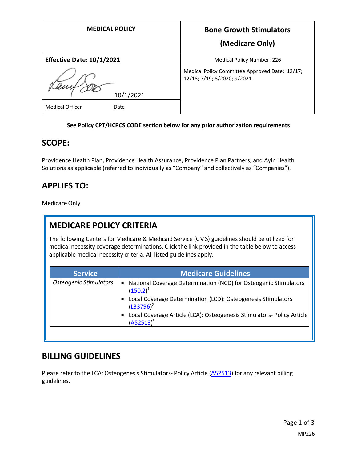| <b>MEDICAL POLICY</b>                       | <b>Bone Growth Stimulators</b>                                                |
|---------------------------------------------|-------------------------------------------------------------------------------|
|                                             | (Medicare Only)                                                               |
| <b>Effective Date: 10/1/2021</b>            | Medical Policy Number: 226                                                    |
|                                             | Medical Policy Committee Approved Date: 12/17;<br>12/18; 7/19; 8/2020; 9/2021 |
| 10/1/2021<br><b>Medical Officer</b><br>Date |                                                                               |

#### **See Policy CPT/HCPCS CODE section below for any prior authorization requirements**

#### **SCOPE:**

Providence Health Plan, Providence Health Assurance, Providence Plan Partners, and Ayin Health Solutions as applicable (referred to individually as "Company" and collectively as "Companies").

## **APPLIES TO:**

Medicare Only

## **MEDICARE POLICY CRITERIA**

The following Centers for Medicare & Medicaid Service (CMS) guidelines should be utilized for medical necessity coverage determinations. Click the link provided in the table below to access applicable medical necessity criteria. All listed guidelines apply.

| <b>Service</b>                | <b>Medicare Guidelines</b>                                                                                                                                   |
|-------------------------------|--------------------------------------------------------------------------------------------------------------------------------------------------------------|
| <b>Osteogenic Stimulators</b> | National Coverage Determination (NCD) for Osteogenic Stimulators<br>$(150.2)^1$<br>Local Coverage Determination (LCD): Osteogenesis Stimulators<br>$\bullet$ |
|                               | $(L33796)^2$<br>Local Coverage Article (LCA): Osteogenesis Stimulators- Policy Article<br>٠<br>$(A52513)^3$                                                  |

## **BILLING GUIDELINES**

Please refer to the LCA: Osteogenesis Stimulators- Policy Article [\(A52513\)](https://www.cms.gov/medicare-coverage-database/details/article-details.aspx?articleId=52513) for any relevant billing guidelines.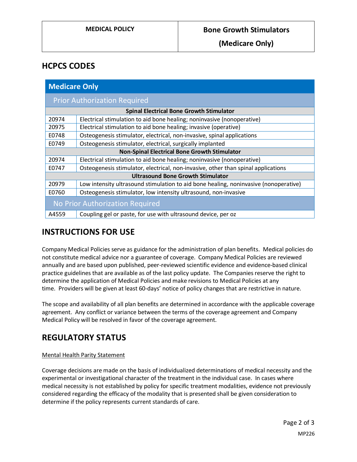**(Medicare Only)**

## **HCPCS CODES**

| <b>Medicare Only</b>                                |                                                                                      |
|-----------------------------------------------------|--------------------------------------------------------------------------------------|
| <b>Prior Authorization Required</b>                 |                                                                                      |
| <b>Spinal Electrical Bone Growth Stimulator</b>     |                                                                                      |
| 20974                                               | Electrical stimulation to aid bone healing; noninvasive (nonoperative)               |
| 20975                                               | Electrical stimulation to aid bone healing; invasive (operative)                     |
| E0748                                               | Osteogenesis stimulator, electrical, non-invasive, spinal applications               |
| E0749                                               | Osteogenesis stimulator, electrical, surgically implanted                            |
| <b>Non-Spinal Electrical Bone Growth Stimulator</b> |                                                                                      |
| 20974                                               | Electrical stimulation to aid bone healing; noninvasive (nonoperative)               |
| E0747                                               | Osteogenesis stimulator, electrical, non-invasive, other than spinal applications    |
| <b>Ultrasound Bone Growth Stimulator</b>            |                                                                                      |
| 20979                                               | Low intensity ultrasound stimulation to aid bone healing, noninvasive (nonoperative) |
| E0760                                               | Osteogenesis stimulator, low intensity ultrasound, non-invasive                      |
| No Prior Authorization Required                     |                                                                                      |
| A4559                                               | Coupling gel or paste, for use with ultrasound device, per oz                        |

# **INSTRUCTIONS FOR USE**

Company Medical Policies serve as guidance for the administration of plan benefits. Medical policies do not constitute medical advice nor a guarantee of coverage. Company Medical Policies are reviewed annually and are based upon published, peer-reviewed scientific evidence and evidence-based clinical practice guidelines that are available as of the last policy update. The Companies reserve the right to determine the application of Medical Policies and make revisions to Medical Policies at any time. Providers will be given at least 60-days' notice of policy changes that are restrictive in nature.

The scope and availability of all plan benefits are determined in accordance with the applicable coverage agreement. Any conflict or variance between the terms of the coverage agreement and Company Medical Policy will be resolved in favor of the coverage agreement.

# **REGULATORY STATUS**

#### Mental Health Parity Statement

Coverage decisions are made on the basis of individualized determinations of medical necessity and the experimental or investigational character of the treatment in the individual case. In cases where medical necessity is not established by policy for specific treatment modalities, evidence not previously considered regarding the efficacy of the modality that is presented shall be given consideration to determine if the policy represents current standards of care.